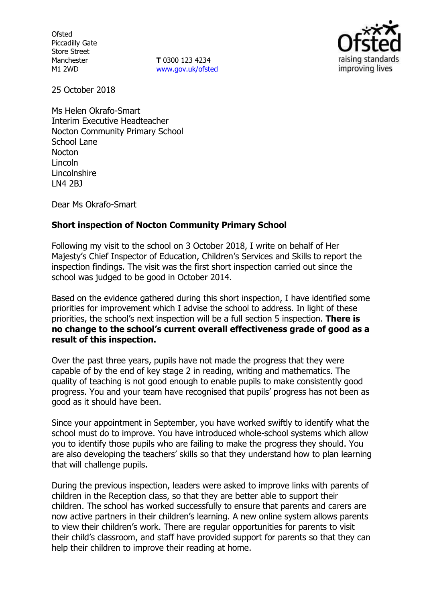**Ofsted** Piccadilly Gate Store Street Manchester M1 2WD

**T** 0300 123 4234 www.gov.uk/ofsted



25 October 2018

Ms Helen Okrafo-Smart Interim Executive Headteacher Nocton Community Primary School School Lane Nocton Lincoln Lincolnshire LN4 2BJ

Dear Ms Okrafo-Smart

# **Short inspection of Nocton Community Primary School**

Following my visit to the school on 3 October 2018, I write on behalf of Her Majesty's Chief Inspector of Education, Children's Services and Skills to report the inspection findings. The visit was the first short inspection carried out since the school was judged to be good in October 2014.

Based on the evidence gathered during this short inspection, I have identified some priorities for improvement which I advise the school to address. In light of these priorities, the school's next inspection will be a full section 5 inspection. **There is no change to the school's current overall effectiveness grade of good as a result of this inspection.**

Over the past three years, pupils have not made the progress that they were capable of by the end of key stage 2 in reading, writing and mathematics. The quality of teaching is not good enough to enable pupils to make consistently good progress. You and your team have recognised that pupils' progress has not been as good as it should have been.

Since your appointment in September, you have worked swiftly to identify what the school must do to improve. You have introduced whole-school systems which allow you to identify those pupils who are failing to make the progress they should. You are also developing the teachers' skills so that they understand how to plan learning that will challenge pupils.

During the previous inspection, leaders were asked to improve links with parents of children in the Reception class, so that they are better able to support their children. The school has worked successfully to ensure that parents and carers are now active partners in their children's learning. A new online system allows parents to view their children's work. There are regular opportunities for parents to visit their child's classroom, and staff have provided support for parents so that they can help their children to improve their reading at home.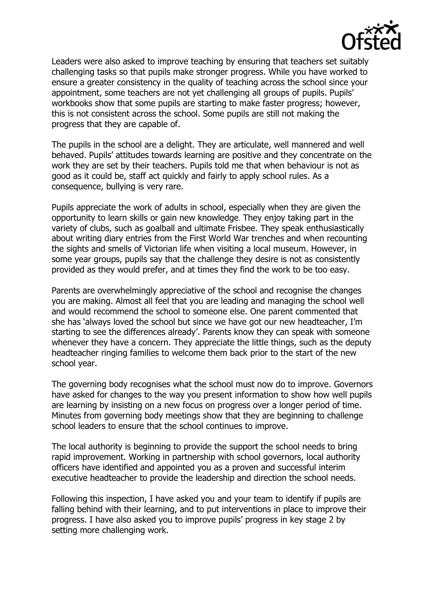

Leaders were also asked to improve teaching by ensuring that teachers set suitably challenging tasks so that pupils make stronger progress. While you have worked to ensure a greater consistency in the quality of teaching across the school since your appointment, some teachers are not yet challenging all groups of pupils. Pupils' workbooks show that some pupils are starting to make faster progress; however, this is not consistent across the school. Some pupils are still not making the progress that they are capable of.

The pupils in the school are a delight. They are articulate, well mannered and well behaved. Pupils' attitudes towards learning are positive and they concentrate on the work they are set by their teachers. Pupils told me that when behaviour is not as good as it could be, staff act quickly and fairly to apply school rules. As a consequence, bullying is very rare.

Pupils appreciate the work of adults in school, especially when they are given the opportunity to learn skills or gain new knowledge. They enjoy taking part in the variety of clubs, such as goalball and ultimate Frisbee. They speak enthusiastically about writing diary entries from the First World War trenches and when recounting the sights and smells of Victorian life when visiting a local museum. However, in some year groups, pupils say that the challenge they desire is not as consistently provided as they would prefer, and at times they find the work to be too easy.

Parents are overwhelmingly appreciative of the school and recognise the changes you are making. Almost all feel that you are leading and managing the school well and would recommend the school to someone else. One parent commented that she has 'always loved the school but since we have got our new headteacher, I'm starting to see the differences already'. Parents know they can speak with someone whenever they have a concern. They appreciate the little things, such as the deputy headteacher ringing families to welcome them back prior to the start of the new school year.

The governing body recognises what the school must now do to improve. Governors have asked for changes to the way you present information to show how well pupils are learning by insisting on a new focus on progress over a longer period of time. Minutes from governing body meetings show that they are beginning to challenge school leaders to ensure that the school continues to improve.

The local authority is beginning to provide the support the school needs to bring rapid improvement. Working in partnership with school governors, local authority officers have identified and appointed you as a proven and successful interim executive headteacher to provide the leadership and direction the school needs.

Following this inspection, I have asked you and your team to identify if pupils are falling behind with their learning, and to put interventions in place to improve their progress. I have also asked you to improve pupils' progress in key stage 2 by setting more challenging work.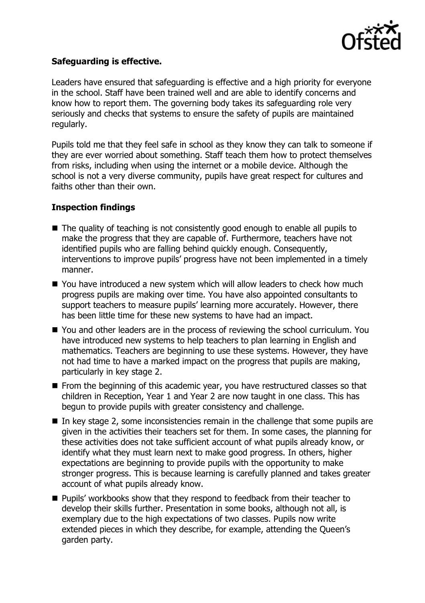

### **Safeguarding is effective.**

Leaders have ensured that safeguarding is effective and a high priority for everyone in the school. Staff have been trained well and are able to identify concerns and know how to report them. The governing body takes its safeguarding role very seriously and checks that systems to ensure the safety of pupils are maintained regularly.

Pupils told me that they feel safe in school as they know they can talk to someone if they are ever worried about something. Staff teach them how to protect themselves from risks, including when using the internet or a mobile device. Although the school is not a very diverse community, pupils have great respect for cultures and faiths other than their own.

# **Inspection findings**

- The quality of teaching is not consistently good enough to enable all pupils to make the progress that they are capable of. Furthermore, teachers have not identified pupils who are falling behind quickly enough. Consequently, interventions to improve pupils' progress have not been implemented in a timely manner.
- You have introduced a new system which will allow leaders to check how much progress pupils are making over time. You have also appointed consultants to support teachers to measure pupils' learning more accurately. However, there has been little time for these new systems to have had an impact.
- You and other leaders are in the process of reviewing the school curriculum. You have introduced new systems to help teachers to plan learning in English and mathematics. Teachers are beginning to use these systems. However, they have not had time to have a marked impact on the progress that pupils are making, particularly in key stage 2.
- **From the beginning of this academic year, you have restructured classes so that** children in Reception, Year 1 and Year 2 are now taught in one class. This has begun to provide pupils with greater consistency and challenge.
- In key stage 2, some inconsistencies remain in the challenge that some pupils are given in the activities their teachers set for them. In some cases, the planning for these activities does not take sufficient account of what pupils already know, or identify what they must learn next to make good progress. In others, higher expectations are beginning to provide pupils with the opportunity to make stronger progress. This is because learning is carefully planned and takes greater account of what pupils already know.
- **Pupils' workbooks show that they respond to feedback from their teacher to** develop their skills further. Presentation in some books, although not all, is exemplary due to the high expectations of two classes. Pupils now write extended pieces in which they describe, for example, attending the Queen's garden party.